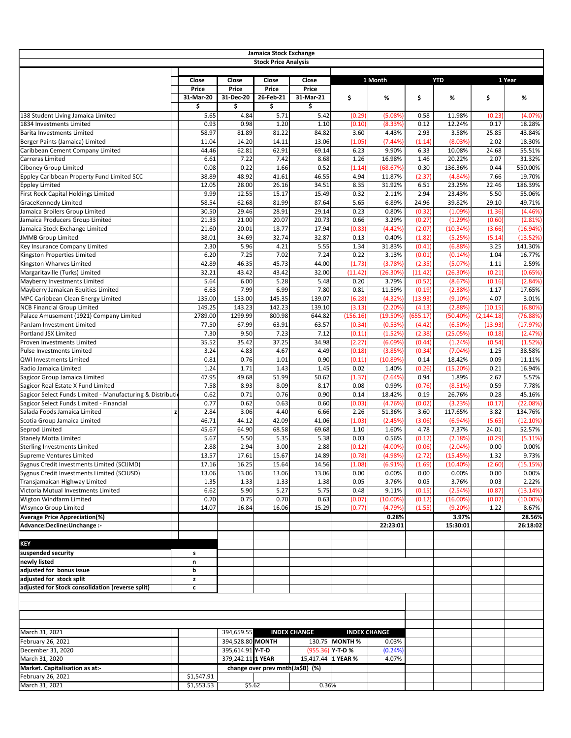|                                                                          |                |                       | Jamaica Stock Exchange           |                     |                    |                     |                  |                      |                  |                     |
|--------------------------------------------------------------------------|----------------|-----------------------|----------------------------------|---------------------|--------------------|---------------------|------------------|----------------------|------------------|---------------------|
|                                                                          |                |                       | <b>Stock Price Analysis</b>      |                     |                    |                     |                  |                      |                  |                     |
|                                                                          |                |                       |                                  |                     |                    |                     |                  |                      |                  |                     |
|                                                                          | Close<br>Price | Close<br><b>Price</b> | Close<br>Price                   | Close<br>Price      |                    | 1 Month             |                  | <b>YTD</b>           |                  | 1 Year              |
|                                                                          | 31-Mar-20      | 31-Dec-20             | 26-Feb-21                        | 31-Mar-21           | \$                 | %                   | \$               | %                    | \$               | %                   |
|                                                                          | \$             | \$                    | \$                               | \$                  |                    |                     |                  |                      |                  |                     |
| 138 Student Living Jamaica Limited                                       | 5.65           | 4.84                  | 5.71                             | 5.42                | (0.29)             | (5.08%)             | 0.58             | 11.98%               | (0.23)           | (4.07%)             |
| 1834 Investments Limited                                                 | 0.93           | 0.98                  | 1.20                             | 1.10                | (0.10)             | (8.33%)             | 0.12             | 12.24%               | 0.17             | 18.28%              |
| Barita Investments Limited                                               | 58.97          | 81.89                 | 81.22                            | 84.82               | 3.60               | 4.43%               | 2.93             | 3.58%                | 25.85            | 43.84%              |
| Berger Paints (Jamaica) Limited                                          | 11.04<br>44.46 | 14.20<br>62.81        | 14.11<br>62.91                   | 13.06               | (1.05)             | (7.44%)<br>9.90%    | (1.14)<br>6.33   | (8.03%<br>10.08%     | 2.02<br>24.68    | 18.30%              |
| Caribbean Cement Company Limited<br>Carreras Limited                     | 6.61           | 7.22                  | 7.42                             | 69.14<br>8.68       | 6.23<br>1.26       | 16.98%              | 1.46             | 20.22%               | 2.07             | 55.51%<br>31.32%    |
| <b>Ciboney Group Limited</b>                                             | 0.08           | 0.22                  | 1.66                             | 0.52                | (1.14)             | (68.67%)            | 0.30             | 136.36%              | 0.44             | 550.00%             |
| Eppley Caribbean Property Fund Limited SCC                               | 38.89          | 48.92                 | 41.61                            | 46.55               | 4.94               | 11.87%              | (2.37)           | (4.84%               | 7.66             | 19.70%              |
| <b>Eppley Limited</b>                                                    | 12.05          | 28.00                 | 26.16                            | 34.51               | 8.35               | 31.92%              | 6.51             | 23.25%               | 22.46            | 186.39%             |
| First Rock Capital Holdings Limited                                      | 9.99           | 12.55                 | 15.17                            | 15.49               | 0.32               | 2.11%               | 2.94             | 23.43%               | 5.50             | 55.06%              |
| <b>GraceKennedy Limited</b>                                              | 58.54          | 62.68                 | 81.99                            | 87.64               | 5.65               | 6.89%               | 24.96            | 39.82%               | 29.10            | 49.71%              |
| Jamaica Broilers Group Limited                                           | 30.50          | 29.46                 | 28.91                            | 29.14               | 0.23               | 0.80%               | (0.32)           | (1.09%               | (1.36)           | (4.46%)             |
| Jamaica Producers Group Limited<br>Jamaica Stock Exchange Limited        | 21.33<br>21.60 | 21.00<br>20.01        | 20.07<br>18.77                   | 20.73<br>17.94      | 0.66<br>(0.83)     | 3.29%<br>(4.42%)    | (0.27)<br>(2.07) | (1.29%)<br>(10.34%   | (0.60)<br>(3.66) | (2.81%)<br>(16.94%) |
| <b>JMMB Group Limited</b>                                                | 38.01          | 34.69                 | 32.74                            | 32.87               | 0.13               | 0.40%               | (1.82)           | (5.25%)              | (5.14)           | (13.52%)            |
| Key Insurance Company Limited                                            | 2.30           | 5.96                  | 4.21                             | 5.55                | 1.34               | 31.83%              | (0.41)           | (6.88%)              | 3.25             | 141.30%             |
| Kingston Properties Limited                                              | 6.20           | 7.25                  | 7.02                             | 7.24                | 0.22               | 3.13%               | (0.01)           | (0.14%               | 1.04             | 16.77%              |
| Kingston Wharves Limited                                                 | 42.89          | 46.35                 | 45.73                            | 44.00               | (1.73)             | (3.78%)             | (2.35)           | (5.07%)              | 1.11             | 2.59%               |
| Margaritaville (Turks) Limited                                           | 32.21          | 43.42                 | 43.42                            | 32.00               | (11.42)            | (26.30%)            | (11.42)          | (26.30%)             | (0.21)           | (0.65%)             |
| Mayberry Investments Limited                                             | 5.64<br>6.63   | 6.00<br>7.99          | 5.28<br>6.99                     | 5.48<br>7.80        | 0.20<br>0.81       | 3.79%<br>11.59%     | (0.52)<br>(0.19) | (8.67%               | (0.16)<br>1.17   | (2.84%)             |
| Mayberry Jamaican Equities Limited<br>MPC Caribbean Clean Energy Limited | 135.00         | 153.00                | 145.35                           | 139.07              | (6.28)             | (4.32%)             | (13.93)          | (2.38%<br>$(9.10\%)$ | 4.07             | 17.65%<br>3.01%     |
| <b>NCB Financial Group Limited</b>                                       | 149.25         | 143.23                | 142.23                           | 139.10              | (3.13)             | (2.20%)             | (4.13)           | (2.88%               | (10.15)          | (6.80%)             |
| Palace Amusement (1921) Company Limited                                  | 2789.00        | 1299.99               | 800.98                           | 644.82              | (156.16)           | (19.50%)            | (655.17)         | $(50.40\%)$          | (2, 144.18)      | (76.88%)            |
| PanJam Investment Limited                                                | 77.50          | 67.99                 | 63.91                            | 63.57               | (0.34)             | (0.53%)             | (4.42)           | (6.50%)              | (13.93)          | (17.97%)            |
| Portland JSX Limited                                                     | 7.30           | 9.50                  | 7.23                             | 7.12                | (0.11)             | (1.52%)             | (2.38)           | (25.05%)             | (0.18)           | (2.47%)             |
| Proven Investments Limited                                               | 35.52          | 35.42                 | 37.25                            | 34.98               | (2.27)             | (6.09%)             | (0.44)           | (1.24%)              | (0.54)           | (1.52%)             |
| <b>Pulse Investments Limited</b><br>QWI Investments Limited              | 3.24<br>0.81   | 4.83<br>0.76          | 4.67<br>1.01                     | 4.49<br>0.90        | (0.18)<br>(0.11)   | (3.85%)<br>(10.89%) | (0.34)<br>0.14   | (7.04%)<br>18.42%    | 1.25<br>0.09     | 38.58%<br>11.11%    |
| Radio Jamaica Limited                                                    | 1.24           | 1.71                  | 1.43                             | 1.45                | 0.02               | 1.40%               | (0.26)           | $(15.20\%)$          | 0.21             | 16.94%              |
| Sagicor Group Jamaica Limited                                            | 47.95          | 49.68                 | 51.99                            | 50.62               | (1.37)             | (2.64%)             | 0.94             | 1.89%                | 2.67             | 5.57%               |
| Sagicor Real Estate X Fund Limited                                       | 7.58           | 8.93                  | 8.09                             | 8.17                | 0.08               | 0.99%               | (0.76)           | (8.51%               | 0.59             | 7.78%               |
| Sagicor Select Funds Limited - Manufacturing & Distribution              | 0.62           | 0.71                  | 0.76                             | 0.90                | 0.14               | 18.42%              | 0.19             | 26.76%               | 0.28             | 45.16%              |
| Sagicor Select Funds Limited - Financial                                 | 0.77           | 0.62                  | 0.63                             | 0.60                | (0.03)             | (4.76%)             | (0.02)           | (3.23%)              | (0.17)           | (22.08%)            |
| Salada Foods Jamaica Limited                                             | 2.84<br>46.71  | 3.06<br>44.12         | 4.40                             | 6.66                | 2.26               | 51.36%              | 3.60<br>(3.06)   | 117.65%<br>(6.94%    | 3.82<br>(5.65)   | 134.76%             |
| Scotia Group Jamaica Limited<br>Seprod Limited                           | 45.67          | 64.90                 | 42.09<br>68.58                   | 41.06<br>69.68      | (1.03)<br>1.10     | (2.45%)<br>1.60%    | 4.78             | 7.37%                | 24.01            | (12.10%)<br>52.57%  |
| <b>Stanely Motta Limited</b>                                             | 5.67           | 5.50                  | 5.35                             | 5.38                | 0.03               | 0.56%               | (0.12)           | (2.18%               | (0.29)           | (5.11%)             |
| <b>Sterling Investments Limited</b>                                      | 2.88           | 2.94                  | 3.00                             | 2.88                | (0.12)             | $(4.00\%)$          | (0.06)           | (2.04%               | 0.00             | 0.00%               |
| Supreme Ventures Limited                                                 | 13.57          | 17.61                 | 15.67                            | 14.89               | (0.78)             | (4.98%)             | (2.72)           | (15.45%)             | 1.32             | 9.73%               |
| Sygnus Credit Investments Limited (SCIJMD)                               | 17.16          | 16.25                 | 15.64                            | 14.56               | (1.08)             | (6.91%)             | (1.69)           | $(10.40\%)$          | (2.60)           | (15.15%)            |
| Sygnus Credit Investments Limited (SCIUSD)                               | 13.06          | 13.06                 | 13.06                            | 13.06               | 0.00               | 0.00%               | 0.00             | 0.00%                | 0.00             | 0.00%               |
| Transjamaican Highway Limited<br>Victoria Mutual Investments Limited     | 1.35<br>6.62   | 1.33<br>5.90          | 1.33<br>5.27                     | 1.38<br>5.75        | 0.05<br>0.48       | 3.76%<br>9.11%      | 0.05<br>(0.15)   | 3.76%<br>(2.54%)     | 0.03<br>(0.87)   | 2.22%<br>(13.14%)   |
| Wigton Windfarm Limited                                                  | 0.70           | 0.75                  | 0.70                             | 0.63                | (0.07)             | $(10.00\%)$         | (0.12)           | $(16.00\%)$          | (0.07)           | $(10.00\%)$         |
| <b>Wisynco Group Limited</b>                                             | 14.07          | 16.84                 | 16.06                            | 15.29               | (0.77)             | (4.79%)             | (1.55)           | (9.20%)              | 1.22             | 8.67%               |
| <b>Average Price Appreciation(%)</b>                                     |                |                       |                                  |                     |                    | 0.28%               |                  | 3.97%                |                  | 28.56%              |
| Advance:Decline:Unchange :-                                              |                |                       |                                  |                     |                    | 22:23:01            |                  | 15:30:01             |                  | 26:18:02            |
|                                                                          |                |                       |                                  |                     |                    |                     |                  |                      |                  |                     |
| <b>KEY</b><br>suspended security                                         |                |                       |                                  |                     |                    |                     |                  |                      |                  |                     |
| newly listed                                                             | s<br>n         |                       |                                  |                     |                    |                     |                  |                      |                  |                     |
| adjusted for bonus issue                                                 | b              |                       |                                  |                     |                    |                     |                  |                      |                  |                     |
| adjusted for stock split                                                 | z              |                       |                                  |                     |                    |                     |                  |                      |                  |                     |
| adjusted for Stock consolidation (reverse split)                         | c              |                       |                                  |                     |                    |                     |                  |                      |                  |                     |
|                                                                          |                |                       |                                  |                     |                    |                     |                  |                      |                  |                     |
|                                                                          |                |                       |                                  |                     |                    |                     |                  |                      |                  |                     |
| March 31, 2021                                                           |                | 394,659.55            |                                  | <b>INDEX CHANGE</b> |                    | <b>INDEX CHANGE</b> |                  |                      |                  |                     |
| February 26, 2021                                                        |                | 394,528.80 MONTH      |                                  |                     | 130.75 MONTH %     | 0.03%               |                  |                      |                  |                     |
| December 31, 2020                                                        |                | 395,614.91 Y-T-D      |                                  |                     | $(955.36)$ Y-T-D % | (0.24%)             |                  |                      |                  |                     |
| March 31, 2020                                                           |                | 379,242.11 1 YEAR     |                                  |                     | 15,417.44 1 YEAR % | 4.07%               |                  |                      |                  |                     |
| Market. Capitalisation as at:-                                           |                |                       | change over prev mnth(Ja\$B) (%) |                     |                    |                     |                  |                      |                  |                     |
| February 26, 2021<br>March 31, 2021                                      | \$1,547.91     |                       |                                  | 0.36%               |                    |                     |                  |                      |                  |                     |
|                                                                          | \$1,553.53     |                       | \$5.62                           |                     |                    |                     |                  |                      |                  |                     |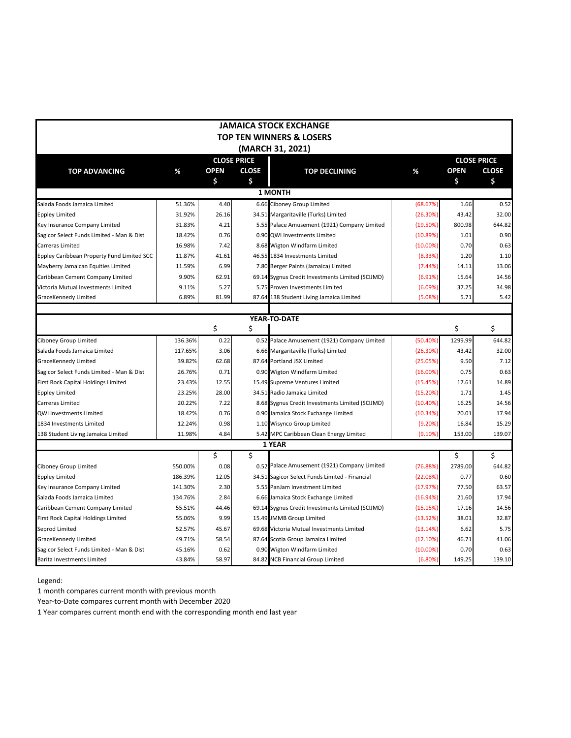|                                                 |         |                   |                                    | <b>JAMAICA STOCK EXCHANGE</b>                    |             |             |                                    |
|-------------------------------------------------|---------|-------------------|------------------------------------|--------------------------------------------------|-------------|-------------|------------------------------------|
|                                                 |         |                   |                                    | <b>TOP TEN WINNERS &amp; LOSERS</b>              |             |             |                                    |
|                                                 |         |                   |                                    |                                                  |             |             |                                    |
|                                                 |         |                   |                                    | (MARCH 31, 2021)                                 |             |             |                                    |
|                                                 |         |                   | <b>CLOSE PRICE</b><br><b>CLOSE</b> |                                                  |             | <b>OPEN</b> | <b>CLOSE PRICE</b><br><b>CLOSE</b> |
| <b>TOP ADVANCING</b>                            | %       | <b>OPEN</b><br>\$ | \$                                 | <b>TOP DECLINING</b>                             | %           | \$          | \$                                 |
|                                                 |         |                   |                                    | <b>1 MONTH</b>                                   |             |             |                                    |
| Salada Foods Jamaica Limited                    | 51.36%  | 4.40              |                                    | 6.66 Ciboney Group Limited                       | (68.67%)    | 1.66        | 0.52                               |
|                                                 | 31.92%  | 26.16             |                                    | 34.51 Margaritaville (Turks) Limited             | (26.30%)    | 43.42       | 32.00                              |
| Eppley Limited<br>Key Insurance Company Limited | 31.83%  | 4.21              |                                    | 5.55 Palace Amusement (1921) Company Limited     | (19.50%)    | 800.98      | 644.82                             |
| Sagicor Select Funds Limited - Man & Dist       | 18.42%  | 0.76              |                                    | 0.90 QWI Investments Limited                     | (10.89%)    | 1.01        | 0.90                               |
| Carreras Limited                                | 16.98%  | 7.42              |                                    | 8.68 Wigton Windfarm Limited                     | $(10.00\%)$ | 0.70        | 0.63                               |
| Eppley Caribbean Property Fund Limited SCC      | 11.87%  | 41.61             |                                    | 46.55 1834 Investments Limited                   | (8.33%)     | 1.20        | 1.10                               |
| Mayberry Jamaican Equities Limited              | 11.59%  | 6.99              |                                    | 7.80 Berger Paints (Jamaica) Limited             | (7.44%)     | 14.11       | 13.06                              |
| Caribbean Cement Company Limited                | 9.90%   | 62.91             |                                    | 69.14 Sygnus Credit Investments Limited (SCIJMD) | (6.91%)     | 15.64       | 14.56                              |
| Victoria Mutual Investments Limited             | 9.11%   | 5.27              |                                    | 5.75 Proven Investments Limited                  | (6.09%)     | 37.25       | 34.98                              |
| GraceKennedy Limited                            | 6.89%   | 81.99             |                                    | 87.64 138 Student Living Jamaica Limited         | (5.08%      | 5.71        | 5.42                               |
|                                                 |         |                   |                                    |                                                  |             |             |                                    |
|                                                 |         |                   |                                    | YEAR-TO-DATE                                     |             |             |                                    |
|                                                 |         | \$                | \$                                 |                                                  |             | \$          | \$                                 |
| <b>Ciboney Group Limited</b>                    | 136.36% | 0.22              |                                    | 0.52 Palace Amusement (1921) Company Limited     | (50.40%)    | 1299.99     | 644.82                             |
| Salada Foods Jamaica Limited                    | 117.65% | 3.06              |                                    | 6.66 Margaritaville (Turks) Limited              | (26.30%)    | 43.42       | 32.00                              |
| GraceKennedy Limited                            | 39.82%  | 62.68             |                                    | 87.64 Portland JSX Limited                       | (25.05%)    | 9.50        | 7.12                               |
| Sagicor Select Funds Limited - Man & Dist       | 26.76%  | 0.71              |                                    | 0.90 Wigton Windfarm Limited                     | $(16.00\%)$ | 0.75        | 0.63                               |
| First Rock Capital Holdings Limited             | 23.43%  | 12.55             |                                    | 15.49 Supreme Ventures Limited                   | (15.45%)    | 17.61       | 14.89                              |
| <b>Eppley Limited</b>                           | 23.25%  | 28.00             |                                    | 34.51 Radio Jamaica Limited                      | (15.20%)    | 1.71        | 1.45                               |
| Carreras Limited                                | 20.22%  | 7.22              |                                    | 8.68 Sygnus Credit Investments Limited (SCIJMD)  | (10.40%)    | 16.25       | 14.56                              |
| <b>QWI Investments Limited</b>                  | 18.42%  | 0.76              |                                    | 0.90 Jamaica Stock Exchange Limited              | (10.34%)    | 20.01       | 17.94                              |
| 1834 Investments Limited                        | 12.24%  | 0.98              |                                    | 1.10 Wisynco Group Limited                       | (9.20%)     | 16.84       | 15.29                              |
| 138 Student Living Jamaica Limited              | 11.98%  | 4.84              |                                    | 5.42 MPC Caribbean Clean Energy Limited          | (9.10%      | 153.00      | 139.07                             |
|                                                 |         |                   |                                    | 1 YEAR                                           |             |             |                                    |
|                                                 |         | \$                | Ś.                                 |                                                  |             | \$          | \$                                 |
| <b>Ciboney Group Limited</b>                    | 550.00% | 0.08              |                                    | 0.52 Palace Amusement (1921) Company Limited     | (76.88%)    | 2789.00     | 644.82                             |
| <b>Eppley Limited</b>                           | 186.39% | 12.05             |                                    | 34.51 Sagicor Select Funds Limited - Financial   | (22.08%)    | 0.77        | 0.60                               |
| Key Insurance Company Limited                   | 141.30% | 2.30              |                                    | 5.55 PanJam Investment Limited                   | (17.97%)    | 77.50       | 63.57                              |
| Salada Foods Jamaica Limited                    | 134.76% | 2.84              |                                    | 6.66 Jamaica Stock Exchange Limited              | (16.94%)    | 21.60       | 17.94                              |
| Caribbean Cement Company Limited                | 55.51%  | 44.46             |                                    | 69.14 Sygnus Credit Investments Limited (SCIJMD) | (15.15%)    | 17.16       | 14.56                              |
| <b>First Rock Capital Holdings Limited</b>      | 55.06%  | 9.99              |                                    | 15.49 JMMB Group Limited                         | (13.52%)    | 38.01       | 32.87                              |
| Seprod Limited                                  | 52.57%  | 45.67             |                                    | 69.68 Victoria Mutual Investments Limited        | (13.14%)    | 6.62        | 5.75                               |
| GraceKennedy Limited                            | 49.71%  | 58.54             |                                    | 87.64 Scotia Group Jamaica Limited               | (12.10%)    | 46.71       | 41.06                              |
| Sagicor Select Funds Limited - Man & Dist       | 45.16%  | 0.62              |                                    | 0.90 Wigton Windfarm Limited                     | $(10.00\%)$ | 0.70        | 0.63                               |
| <b>Barita Investments Limited</b>               | 43.84%  | 58.97             |                                    | 84.82 NCB Financial Group Limited                | (6.80%)     | 149.25      | 139.10                             |

Legend:

1 month compares current month with previous month

Year-to-Date compares current month with December 2020

1 Year compares current month end with the corresponding month end last year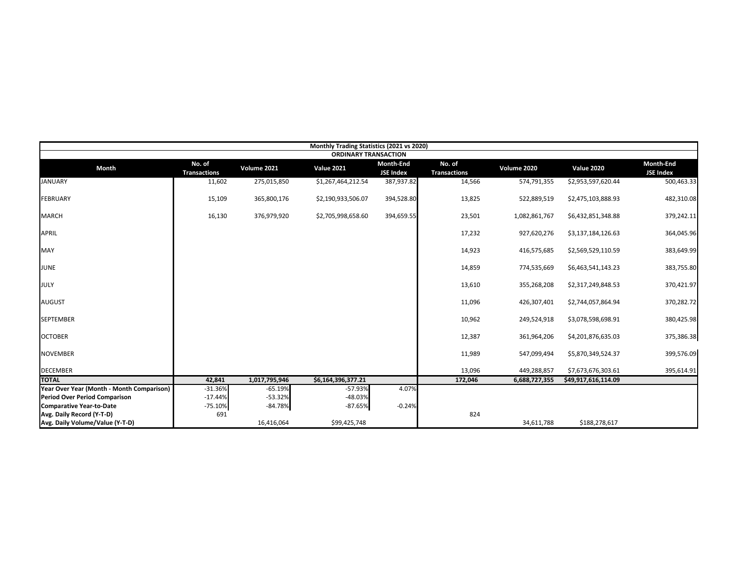|                                           |                               |               | Monthly Trading Statistics (2021 vs 2020) |                                      |                               |               |                     |                                      |
|-------------------------------------------|-------------------------------|---------------|-------------------------------------------|--------------------------------------|-------------------------------|---------------|---------------------|--------------------------------------|
|                                           |                               |               | <b>ORDINARY TRANSACTION</b>               |                                      |                               |               |                     |                                      |
| <b>Month</b>                              | No. of<br><b>Transactions</b> | Volume 2021   | <b>Value 2021</b>                         | <b>Month-End</b><br><b>JSE Index</b> | No. of<br><b>Transactions</b> | Volume 2020   | <b>Value 2020</b>   | <b>Month-End</b><br><b>JSE Index</b> |
| <b>JANUARY</b>                            | 11,602                        | 275,015,850   | \$1,267,464,212.54                        | 387,937.82                           | 14,566                        | 574,791,355   | \$2,953,597,620.44  | 500,463.33                           |
| <b>FEBRUARY</b>                           | 15,109                        | 365,800,176   | \$2,190,933,506.07                        | 394,528.80                           | 13,825                        | 522,889,519   | \$2,475,103,888.93  | 482,310.08                           |
| <b>MARCH</b>                              | 16,130                        | 376,979,920   | \$2,705,998,658.60                        | 394,659.55                           | 23,501                        | 1,082,861,767 | \$6,432,851,348.88  | 379,242.11                           |
| <b>APRIL</b>                              |                               |               |                                           |                                      | 17,232                        | 927,620,276   | \$3,137,184,126.63  | 364,045.96                           |
| <b>MAY</b>                                |                               |               |                                           |                                      | 14,923                        | 416,575,685   | \$2,569,529,110.59  | 383,649.99                           |
| <b>JUNE</b>                               |                               |               |                                           |                                      | 14,859                        | 774,535,669   | \$6,463,541,143.23  | 383,755.80                           |
| JULY                                      |                               |               |                                           |                                      | 13,610                        | 355,268,208   | \$2,317,249,848.53  | 370,421.97                           |
| <b>AUGUST</b>                             |                               |               |                                           |                                      | 11,096                        | 426,307,401   | \$2,744,057,864.94  | 370,282.72                           |
| <b>SEPTEMBER</b>                          |                               |               |                                           |                                      | 10,962                        | 249,524,918   | \$3,078,598,698.91  | 380,425.98                           |
| <b>OCTOBER</b>                            |                               |               |                                           |                                      | 12,387                        | 361,964,206   | \$4,201,876,635.03  | 375,386.38                           |
| <b>NOVEMBER</b>                           |                               |               |                                           |                                      | 11,989                        | 547,099,494   | \$5,870,349,524.37  | 399,576.09                           |
| <b>DECEMBER</b>                           |                               |               |                                           |                                      | 13,096                        | 449,288,857   | \$7,673,676,303.61  | 395,614.91                           |
| <b>TOTAL</b>                              | 42,841                        | 1,017,795,946 | \$6,164,396,377.21                        |                                      | 172,046                       | 6,688,727,355 | \$49,917,616,114.09 |                                      |
| Year Over Year (Month - Month Comparison) | $-31.36%$                     | $-65.19%$     | -57.93%                                   | 4.07%                                |                               |               |                     |                                      |
| <b>Period Over Period Comparison</b>      | $-17.44%$                     | $-53.32%$     | -48.03%                                   |                                      |                               |               |                     |                                      |
| <b>Comparative Year-to-Date</b>           | $-75.10%$                     | $-84.78%$     | $-87.65%$                                 | $-0.24%$                             |                               |               |                     |                                      |
| Avg. Daily Record (Y-T-D)                 | 691                           |               |                                           |                                      | 824                           |               |                     |                                      |
| Avg. Daily Volume/Value (Y-T-D)           |                               | 16,416,064    | \$99,425,748                              |                                      |                               | 34,611,788    | \$188,278,617       |                                      |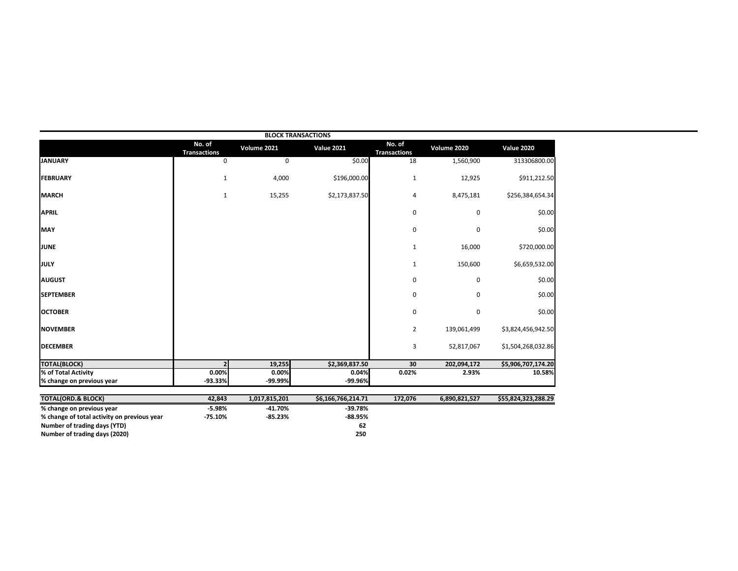|                                             |                               |               | <b>BLOCK TRANSACTIONS</b> |                               |               |                     |
|---------------------------------------------|-------------------------------|---------------|---------------------------|-------------------------------|---------------|---------------------|
|                                             | No. of<br><b>Transactions</b> | Volume 2021   | <b>Value 2021</b>         | No. of<br><b>Transactions</b> | Volume 2020   | <b>Value 2020</b>   |
| <b>JANUARY</b>                              | $\mathbf 0$                   | 0             | \$0.00                    | 18                            | 1,560,900     | 313306800.00        |
| <b>FEBRUARY</b>                             | $\mathbf{1}$                  | 4,000         | \$196,000.00              | $\mathbf{1}$                  | 12,925        | \$911,212.50        |
| <b>MARCH</b>                                | $\mathbf{1}$                  | 15,255        | \$2,173,837.50            | 4                             | 8,475,181     | \$256,384,654.34    |
| <b>APRIL</b>                                |                               |               |                           | 0                             | 0             | \$0.00              |
| <b>MAY</b>                                  |                               |               |                           | $\pmb{0}$                     | 0             | \$0.00              |
| JUNE                                        |                               |               |                           | $\mathbf{1}$                  | 16,000        | \$720,000.00        |
| <b>JULY</b>                                 |                               |               |                           | 1                             | 150,600       | \$6,659,532.00      |
| <b>AUGUST</b>                               |                               |               |                           | 0                             | 0             | \$0.00              |
| <b>SEPTEMBER</b>                            |                               |               |                           | 0                             | 0             | \$0.00              |
| <b>OCTOBER</b>                              |                               |               |                           | $\pmb{0}$                     | 0             | \$0.00              |
| <b>NOVEMBER</b>                             |                               |               |                           | $\overline{2}$                | 139,061,499   | \$3,824,456,942.50  |
| <b>DECEMBER</b>                             |                               |               |                           | 3                             | 52,817,067    | \$1,504,268,032.86  |
| <b>TOTAL(BLOCK)</b>                         |                               | 19,255        | \$2,369,837.50            | 30                            | 202,094,172   | \$5,906,707,174.20  |
| % of Total Activity                         | 0.00%                         | 0.00%         | 0.04%                     | 0.02%                         | 2.93%         | 10.58%              |
| % change on previous year                   | $-93.33%$                     | $-99.99%$     | -99.96%                   |                               |               |                     |
| <b>TOTAL(ORD.&amp; BLOCK)</b>               | 42,843                        | 1,017,815,201 | \$6,166,766,214.71        | 172,076                       | 6,890,821,527 | \$55,824,323,288.29 |
| % change on previous year                   | $-5.98%$                      | $-41.70%$     | $-39.78%$                 |                               |               |                     |
| % change of total activity on previous year | $-75.10%$                     | $-85.23%$     | $-88.95%$                 |                               |               |                     |
| Number of trading days (YTD)                |                               |               | 62                        |                               |               |                     |
| Number of trading days (2020)               |                               |               | 250                       |                               |               |                     |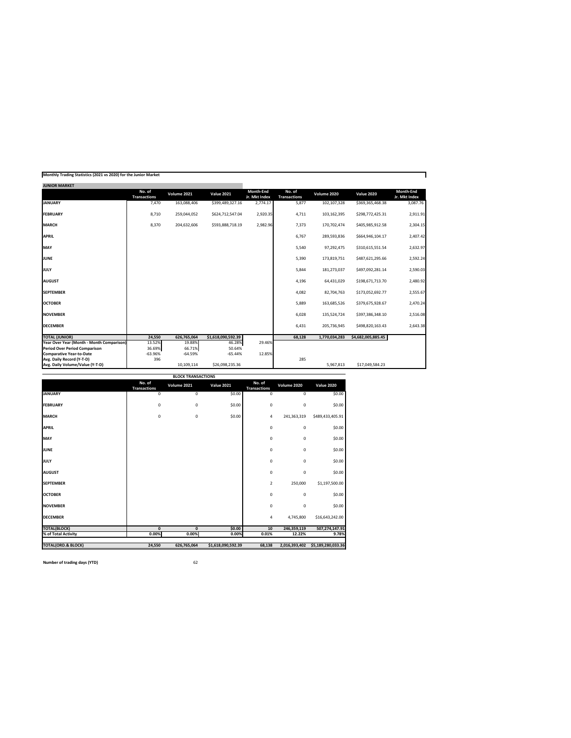|  | Monthly Trading Statistics (2021 vs 2020) for the Junior Market |
|--|-----------------------------------------------------------------|
|--|-----------------------------------------------------------------|

| <b>JUINIUR IVIARNE I</b>                  |                               |             |                    |                                   |                               |               |                    |                            |
|-------------------------------------------|-------------------------------|-------------|--------------------|-----------------------------------|-------------------------------|---------------|--------------------|----------------------------|
|                                           | No. of<br><b>Transactions</b> | Volume 2021 | <b>Value 2021</b>  | <b>Month-End</b><br>Jr. Mkt Index | No. of<br><b>Transactions</b> | Volume 2020   | <b>Value 2020</b>  | Month-End<br>Jr. Mkt Index |
| <b>JANUARY</b>                            | 7,470                         | 163,088,406 | \$399,489,327.16   | 2,774.17                          | 5,877                         | 102,107,328   | \$369,365,468.38   | 3,087.76                   |
| <b>FEBRUARY</b>                           | 8,710                         | 259,044,052 | \$624,712,547.04   | 2,920.35                          | 4,711                         | 103,162,395   | \$298,772,425.31   | 2,911.91                   |
| <b>MARCH</b>                              | 8,370                         | 204,632,606 | \$593,888,718.19   | 2,982.96                          | 7,373                         | 170,702,474   | \$405,985,912.58   | 2,304.15                   |
| <b>APRIL</b>                              |                               |             |                    |                                   | 6,767                         | 289,593,836   | \$664,946,104.17   | 2,407.42                   |
| <b>MAY</b>                                |                               |             |                    |                                   | 5,540                         | 97,292,475    | \$310,615,551.54   | 2,632.97                   |
| <b>JUNE</b>                               |                               |             |                    |                                   | 5,390                         | 173,819,751   | \$487,621,295.66   | 2,592.24                   |
| <b>JULY</b>                               |                               |             |                    |                                   | 5,844                         | 181,273,037   | \$497,092,281.14   | 2,590.03                   |
| <b>AUGUST</b>                             |                               |             |                    |                                   | 4,196                         | 64,431,029    | \$198,671,713.70   | 2,480.92                   |
| <b>SEPTEMBER</b>                          |                               |             |                    |                                   | 4,082                         | 82,704,763    | \$173,052,692.77   | 2,555.67                   |
| <b>OCTOBER</b>                            |                               |             |                    |                                   | 5,889                         | 163,685,526   | \$379,675,928.67   | 2,470.24                   |
| <b>NOVEMBER</b>                           |                               |             |                    |                                   | 6,028                         | 135,524,724   | \$397,386,348.10   | 2,516.08                   |
| <b>DECEMBER</b>                           |                               |             |                    |                                   | 6,431                         | 205,736,945   | \$498,820,163.43   | 2,643.38                   |
| <b>TOTAL (JUNIOR)</b>                     | 24,550                        | 626,765,064 | \$1,618,090,592.39 |                                   | 68,128                        | 1,770,034,283 | \$4,682,005,885.45 |                            |
| Year Over Year (Month - Month Comparison) | 13.52%                        | 19.88%      | 46.28%             | 29.46%                            |                               |               |                    |                            |
| <b>Period Over Period Comparison</b>      | 36.69%                        | 66.71%      | 50.64%             |                                   |                               |               |                    |                            |
| <b>Comparative Year-to-Date</b>           | $-63.96%$                     | $-64.59%$   | $-65.44%$          | 12.85%                            |                               |               |                    |                            |
| Avg. Daily Record (Y-T-D)                 | 396                           |             |                    |                                   | 285                           |               |                    |                            |
| Avg. Daily Volume/Value (Y-T-D)           |                               | 10,109,114  | \$26,098,235.36    |                                   |                               | 5,967,813     | \$17,049,584.23    |                            |

| <b>BLOCK TRANSACTIONS</b>     |                               |              |                    |                               |               |                    |  |  |  |  |  |
|-------------------------------|-------------------------------|--------------|--------------------|-------------------------------|---------------|--------------------|--|--|--|--|--|
|                               | No. of<br><b>Transactions</b> | Volume 2021  | <b>Value 2021</b>  | No. of<br><b>Transactions</b> | Volume 2020   | <b>Value 2020</b>  |  |  |  |  |  |
| <b>JANUARY</b>                | 0                             | 0            | \$0.00             | $\overline{0}$                | 0             | \$0.00             |  |  |  |  |  |
| <b>FEBRUARY</b>               | 0                             | 0            | \$0.00             | $\pmb{0}$                     | 0             | \$0.00             |  |  |  |  |  |
| <b>MARCH</b>                  | 0                             | 0            | \$0.00             | 4                             | 241,363,319   | \$489,433,405.91   |  |  |  |  |  |
| <b>APRIL</b>                  |                               |              |                    | $\pmb{0}$                     | 0             | \$0.00             |  |  |  |  |  |
| MAY                           |                               |              |                    | 0                             | 0             | \$0.00             |  |  |  |  |  |
| <b>JUNE</b>                   |                               |              |                    | $\pmb{0}$                     | 0             | \$0.00             |  |  |  |  |  |
| <b>JULY</b>                   |                               |              |                    | $\pmb{0}$                     | 0             | \$0.00             |  |  |  |  |  |
| <b>AUGUST</b>                 |                               |              |                    | $\pmb{0}$                     | 0             | \$0.00             |  |  |  |  |  |
| <b>SEPTEMBER</b>              |                               |              |                    | $\overline{2}$                | 250,000       | \$1,197,500.00     |  |  |  |  |  |
| <b>OCTOBER</b>                |                               |              |                    | $\pmb{0}$                     | 0             | \$0.00             |  |  |  |  |  |
| <b>NOVEMBER</b>               |                               |              |                    | $\pmb{0}$                     | 0             | \$0.00             |  |  |  |  |  |
| <b>DECEMBER</b>               |                               |              |                    | 4                             | 4,745,800     | \$16,643,242.00    |  |  |  |  |  |
| <b>TOTAL(BLOCK)</b>           | 0                             | $\mathbf{0}$ | \$0.00             | 10                            | 246,359,119   | 507,274,147.91     |  |  |  |  |  |
| % of Total Activity           | 0.00%                         | 0.00%        | 0.00%              | 0.01%                         | 12.22%        | 9.78%              |  |  |  |  |  |
| <b>TOTAL(ORD.&amp; BLOCK)</b> |                               |              |                    |                               |               |                    |  |  |  |  |  |
|                               | 24,550                        | 626,765,064  | \$1,618,090,592.39 | 68,138                        | 2,016,393,402 | \$5,189,280,033.36 |  |  |  |  |  |

**Number of trading days (YTD)** 62

**JUNIOR MARKET**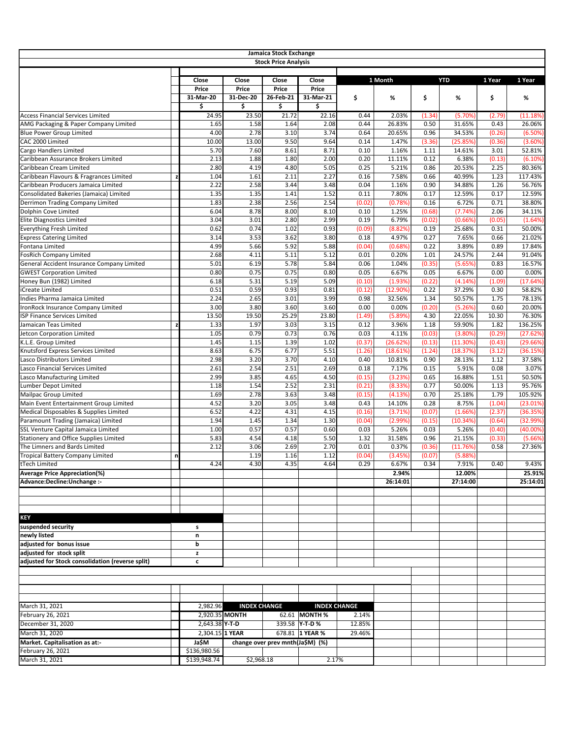|                                                                 |   |                                 |                          | Jamaica Stock Exchange           |                                 |                |                   |              |                 |                |                     |
|-----------------------------------------------------------------|---|---------------------------------|--------------------------|----------------------------------|---------------------------------|----------------|-------------------|--------------|-----------------|----------------|---------------------|
|                                                                 |   |                                 |                          | <b>Stock Price Analysis</b>      |                                 |                |                   |              |                 |                |                     |
|                                                                 |   |                                 |                          |                                  |                                 |                |                   |              |                 |                |                     |
|                                                                 |   | Close                           | Close                    | Close                            | Close                           |                | 1 Month           |              | <b>YTD</b>      | 1 Year         | 1 Year              |
|                                                                 |   | <b>Price</b><br>31-Mar-20<br>\$ | Price<br>31-Dec-20<br>\$ | <b>Price</b><br>26-Feb-21<br>\$  | <b>Price</b><br>31-Mar-21<br>\$ | \$             | %                 | \$           | %               | \$             | $\%$                |
| <b>Access Financial Services Limited</b>                        |   | 24.95                           | 23.50                    | 21.72                            | 22.16                           | 0.44           | 2.03%             | (1.34)       | (5.70%          | (2.79)         | (11.18%)            |
| AMG Packaging & Paper Company Limited                           |   | 1.65                            | 1.58                     | 1.64                             | 2.08                            | 0.44           | 26.83%            | 0.50         | 31.65%          | 0.43           | 26.06%              |
| <b>Blue Power Group Limited</b>                                 |   | 4.00                            | 2.78                     | 3.10                             | 3.74                            | 0.64           | 20.65%            | 0.96         | 34.53%          | (0.26)         | (6.50%)             |
| CAC 2000 Limited                                                |   | 10.00                           | 13.00                    | 9.50                             | 9.64                            | 0.14           | 1.47%             | (3.36)       | (25.85%)        | (0.36)         | (3.60%)             |
| Cargo Handlers Limited                                          |   | 5.70                            | 7.60                     | 8.61                             | 8.71                            | 0.10           | 1.16%             | 1.11         | 14.61%          | 3.01           | 52.81%              |
| Caribbean Assurance Brokers Limited                             |   | 2.13                            | 1.88                     | 1.80                             | 2.00                            | 0.20           | 11.11%            | 0.12         | 6.38%           | (0.13)         | (6.10%)             |
| Caribbean Cream Limited                                         |   | 2.80                            | 4.19                     | 4.80                             | 5.05                            | 0.25           | 5.21%             | 0.86         | 20.53%          | 2.25           | 80.36%              |
| Caribbean Flavours & Fragrances Limited                         | z | 1.04                            | 1.61                     | 2.11                             | 2.27                            | 0.16           | 7.58%             | 0.66         | 40.99%          | 1.23           | 117.43%             |
| Caribbean Producers Jamaica Limited                             |   | 2.22                            | 2.58                     | 3.44                             | 3.48                            | 0.04           | 1.16%             | 0.90         | 34.88%          | 1.26           | 56.76%              |
| Consolidated Bakeries (Jamaica) Limited                         |   | 1.35<br>1.83                    | 1.35<br>2.38             | 1.41<br>2.56                     | 1.52<br>2.54                    | 0.11           | 7.80%<br>(0.78%   | 0.17<br>0.16 | 12.59%<br>6.72% | 0.17<br>0.71   | 12.59%<br>38.80%    |
| Derrimon Trading Company Limited<br>Dolphin Cove Limited        |   | 6.04                            | 8.78                     | 8.00                             | 8.10                            | (0.02)<br>0.10 | 1.25%             | (0.68)       | (7.74%)         | 2.06           | 34.11%              |
| <b>Elite Diagnostics Limited</b>                                |   | 3.04                            | 3.01                     | 2.80                             | 2.99                            | 0.19           | 6.79%             | (0.02)       | (0.66%)         | (0.05)         | (1.64%)             |
| <b>Everything Fresh Limited</b>                                 |   | 0.62                            | 0.74                     | 1.02                             | 0.93                            | (0.09)         | (8.82%)           | 0.19         | 25.68%          | 0.31           | 50.00%              |
| <b>Express Catering Limited</b>                                 |   | 3.14                            | 3.53                     | 3.62                             | 3.80                            | 0.18           | 4.97%             | 0.27         | 7.65%           | 0.66           | 21.02%              |
| Fontana Limited                                                 |   | 4.99                            | 5.66                     | 5.92                             | 5.88                            | (0.04)         | (0.68%            | 0.22         | 3.89%           | 0.89           | 17.84%              |
| <b>FosRich Company Limited</b>                                  |   | 2.68                            | 4.11                     | 5.11                             | 5.12                            | 0.01           | 0.20%             | 1.01         | 24.57%          | 2.44           | 91.04%              |
| General Accident Insurance Company Limited                      |   | 5.01                            | 6.19                     | 5.78                             | 5.84                            | 0.06           | 1.04%             | (0.35)       | (5.65%)         | 0.83           | 16.57%              |
| <b>GWEST Corporation Limited</b>                                |   | 0.80                            | 0.75                     | 0.75                             | 0.80                            | 0.05           | 6.67%             | 0.05         | 6.67%           | 0.00           | 0.00%               |
| Honey Bun (1982) Limited                                        |   | 6.18                            | 5.31                     | 5.19                             | 5.09                            | (0.10)         | (1.93%            | (0.22)       | (4.14%          | (1.09)         | (17.64%)            |
| iCreate Limited                                                 |   | 0.51                            | 0.59                     | 0.93                             | 0.81                            | (0.12)         | $(12.90\%$        | 0.22         | 37.29%          | 0.30           | 58.82%              |
| Indies Pharma Jamaica Limited                                   |   | 2.24                            | 2.65                     | 3.01                             | 3.99                            | 0.98           | 32.56%            | 1.34         | 50.57%          | 1.75           | 78.13%              |
| IronRock Insurance Company Limited                              |   | 3.00                            | 3.80                     | 3.60                             | 3.60                            | 0.00           | 0.00%             | (0.20)       | (5.26%)         | 0.60           | 20.00%              |
| <b>ISP Finance Services Limited</b>                             |   | 13.50                           | 19.50                    | 25.29                            | 23.80                           | (1.49)         | (5.89%            | 4.30         | 22.05%          | 10.30          | 76.30%              |
| Jamaican Teas Limited                                           | z | 1.33                            | 1.97                     | 3.03                             | 3.15                            | 0.12           | 3.96%             | 1.18         | 59.90%          | 1.82           | 136.25%             |
| Jetcon Corporation Limited                                      |   | 1.05                            | 0.79                     | 0.73                             | 0.76                            | 0.03           | 4.11%             | (0.03)       | $(3.80\%)$      | (0.29)         | (27.62%)            |
| K.L.E. Group Limited                                            |   | 1.45                            | 1.15                     | 1.39                             | 1.02                            | (0.37)         | (26.62%           | (0.13)       | (11.30%)        | (0.43)         | (29.66%)            |
| Knutsford Express Services Limited                              |   | 8.63                            | 6.75                     | 6.77                             | 5.51                            | (1.26)         | (18.61%)          | (1.24)       | (18.37%)        | (3.12)         | (36.15%)            |
| Lasco Distributors Limited                                      |   | 2.98                            | 3.20                     | 3.70                             | 4.10                            | 0.40           | 10.81%            | 0.90         | 28.13%          | 1.12           | 37.58%              |
| Lasco Financial Services Limited                                |   | 2.61                            | 2.54                     | 2.51                             | 2.69                            | 0.18           | 7.17%             | 0.15         | 5.91%           | 0.08           | 3.07%               |
| Lasco Manufacturing Limited                                     |   | 2.99                            | 3.85                     | 4.65                             | 4.50                            | (0.15)         | (3.23%)           | 0.65         | 16.88%          | 1.51           | 50.50%              |
| Lumber Depot Limited                                            |   | 1.18                            | 1.54                     | 2.52                             | 2.31                            | (0.21)         | (8.33%)           | 0.77         | 50.00%          | 1.13           | 95.76%              |
| Mailpac Group Limited<br>Main Event Entertainment Group Limited |   | 1.69<br>4.52                    | 2.78<br>3.20             | 3.63<br>3.05                     | 3.48<br>3.48                    | (0.15)<br>0.43 | (4.13%)<br>14.10% | 0.70<br>0.28 | 25.18%<br>8.75% | 1.79<br>(1.04) | 105.92%<br>(23.01%) |
| Medical Disposables & Supplies Limited                          |   | 6.52                            | 4.22                     | 4.31                             | 4.15                            | (0.16)         | (3.71%)           | (0.07)       | (1.66%)         | (2.37)         | (36.35%)            |
| Paramount Trading (Jamaica) Limited                             |   | 1.94                            | 1.45                     | 1.34                             | 1.30                            | (0.04)         | (2.99%            | (0.15)       | (10.34%)        | (0.64)         | (32.99%)            |
| SSL Venture Capital Jamaica Limited                             |   | 1.00                            | 0.57                     | 0.57                             | 0.60                            | 0.03           | 5.26%             | 0.03         | 5.26%           | (0.40)         | $(40.00\%)$         |
| <b>Stationery and Office Supplies Limited</b>                   |   | 5.83                            | 4.54                     | 4.18                             | 5.50                            | 1.32           | 31.58%            | 0.96         | 21.15%          | (0.33)         | (5.66%)             |
| The Limners and Bards Limited                                   |   | 2.12                            | 3.06                     | 2.69                             | 2.70                            | 0.01           | 0.37%             | (0.36)       | (11.76%)        | 0.58           | 27.36%              |
| Tropical Battery Company Limited                                | n |                                 | 1.19                     | 1.16                             | 1.12                            | (0.04)         | (3.45%)           | (0.07)       | (5.88%)         |                |                     |
| tTech Limited                                                   |   | 4.24                            | 4.30                     | 4.35                             | 4.64                            | 0.29           | 6.67%             | 0.34         | 7.91%           | 0.40           | 9.43%               |
| <b>Average Price Appreciation(%)</b>                            |   |                                 |                          |                                  |                                 |                | 2.94%             |              | 12.00%          |                | 25.91%              |
| Advance:Decline:Unchange :-                                     |   |                                 |                          |                                  |                                 |                | 26:14:01          |              | 27:14:00        |                | 25:14:01            |
|                                                                 |   |                                 |                          |                                  |                                 |                |                   |              |                 |                |                     |
| <b>KEY</b>                                                      |   |                                 |                          |                                  |                                 |                |                   |              |                 |                |                     |
| suspended security                                              |   | s                               |                          |                                  |                                 |                |                   |              |                 |                |                     |
| newly listed                                                    |   | n                               |                          |                                  |                                 |                |                   |              |                 |                |                     |
| adjusted for bonus issue                                        |   | b                               |                          |                                  |                                 |                |                   |              |                 |                |                     |
| adjusted for stock split                                        |   | z                               |                          |                                  |                                 |                |                   |              |                 |                |                     |
| adjusted for Stock consolidation (reverse split)                |   | c                               |                          |                                  |                                 |                |                   |              |                 |                |                     |
|                                                                 |   |                                 |                          |                                  |                                 |                |                   |              |                 |                |                     |
|                                                                 |   |                                 |                          |                                  |                                 |                |                   |              |                 |                |                     |
|                                                                 |   |                                 |                          |                                  |                                 |                |                   |              |                 |                |                     |
| March 31, 2021                                                  |   | 2,982.96                        | <b>INDEX CHANGE</b>      |                                  | <b>INDEX CHANGE</b>             |                |                   |              |                 |                |                     |
| February 26, 2021                                               |   |                                 | 2,920.35 MONTH           |                                  | 62.61 MONTH %                   | 2.14%          |                   |              |                 |                |                     |
| December 31, 2020                                               |   | 2,643.38 Y-T-D                  |                          |                                  | 339.58 <b>Y-T-D %</b>           | 12.85%         |                   |              |                 |                |                     |
| March 31, 2020                                                  |   | 2,304.15 1 YEAR                 |                          |                                  | 678.81 1 YEAR %                 | 29.46%         |                   |              |                 |                |                     |
| Market. Capitalisation as at:-                                  |   | Ja\$M                           |                          | change over prev mnth(Ja\$M) (%) |                                 |                |                   |              |                 |                |                     |
| February 26, 2021                                               |   | \$136,980.56                    |                          |                                  |                                 |                |                   |              |                 |                |                     |
| March 31, 2021                                                  |   | \$139,948.74                    | \$2,968.18               |                                  | 2.17%                           |                |                   |              |                 |                |                     |
|                                                                 |   |                                 |                          |                                  |                                 |                |                   |              |                 |                |                     |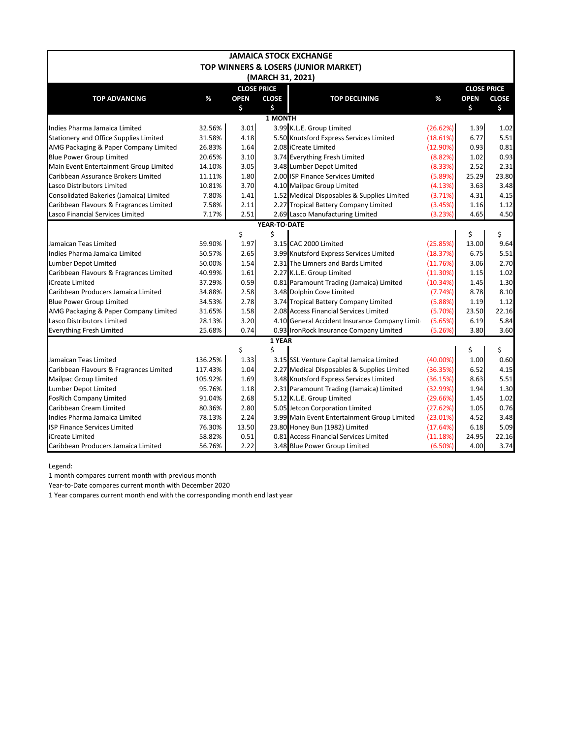|                                               |         |                    |                  | <b>JAMAICA STOCK EXCHANGE</b>                 |             |                    |              |
|-----------------------------------------------|---------|--------------------|------------------|-----------------------------------------------|-------------|--------------------|--------------|
|                                               |         |                    |                  | TOP WINNERS & LOSERS (JUNIOR MARKET)          |             |                    |              |
|                                               |         |                    | (MARCH 31, 2021) |                                               |             |                    |              |
|                                               |         | <b>CLOSE PRICE</b> |                  |                                               |             | <b>CLOSE PRICE</b> |              |
| <b>TOP ADVANCING</b>                          | %       | <b>OPEN</b>        | <b>CLOSE</b>     | <b>TOP DECLINING</b>                          | $\%$        | <b>OPEN</b>        | <b>CLOSE</b> |
|                                               |         | \$                 | \$               |                                               |             | \$                 | \$           |
|                                               |         |                    | <b>1 MONTH</b>   |                                               |             |                    |              |
| Indies Pharma Jamaica Limited                 | 32.56%  | 3.01               |                  | 3.99 K.L.E. Group Limited                     | (26.62%)    | 1.39               | 1.02         |
| <b>Stationery and Office Supplies Limited</b> | 31.58%  | 4.18               |                  | 5.50 Knutsford Express Services Limited       | (18.61%)    | 6.77               | 5.51         |
| AMG Packaging & Paper Company Limited         | 26.83%  | 1.64               |                  | 2.08 ICreate Limited                          | (12.90%)    | 0.93               | 0.81         |
| <b>Blue Power Group Limited</b>               | 20.65%  | 3.10               |                  | 3.74 Everything Fresh Limited                 | (8.82%)     | 1.02               | 0.93         |
| Main Event Entertainment Group Limited        | 14.10%  | 3.05               |                  | 3.48 Lumber Depot Limited                     | (8.33%)     | 2.52               | 2.31         |
| Caribbean Assurance Brokers Limited           | 11.11%  | 1.80               |                  | 2.00 ISP Finance Services Limited             | (5.89%)     | 25.29              | 23.80        |
| Lasco Distributors Limited                    | 10.81%  | 3.70               |                  | 4.10 Mailpac Group Limited                    | (4.13%)     | 3.63               | 3.48         |
| Consolidated Bakeries (Jamaica) Limited       | 7.80%   | 1.41               |                  | 1.52 Medical Disposables & Supplies Limited   | (3.71%)     | 4.31               | 4.15         |
| Caribbean Flavours & Fragrances Limited       | 7.58%   | 2.11               |                  | 2.27 Tropical Battery Company Limited         | (3.45%)     | 1.16               | 1.12         |
| Lasco Financial Services Limited              | 7.17%   | 2.51               |                  | 2.69 Lasco Manufacturing Limited              | (3.23%)     | 4.65               | 4.50         |
|                                               |         |                    | YEAR-TO-DATE     |                                               |             |                    |              |
|                                               |         | \$                 | \$               |                                               |             | \$                 | \$           |
| Jamaican Teas Limited                         | 59.90%  | 1.97               |                  | 3.15 CAC 2000 Limited                         | (25.85%)    | 13.00              | 9.64         |
| Indies Pharma Jamaica Limited                 | 50.57%  | 2.65               |                  | 3.99 Knutsford Express Services Limited       | (18.37%)    | 6.75               | 5.51         |
| Lumber Depot Limited                          | 50.00%  | 1.54               |                  | 2.31 The Limners and Bards Limited            | (11.76%)    | 3.06               | 2.70         |
| Caribbean Flavours & Fragrances Limited       | 40.99%  | 1.61               |                  | 2.27 K.L.E. Group Limited                     | (11.30%)    | 1.15               | 1.02         |
| iCreate Limited                               | 37.29%  | 0.59               |                  | 0.81 Paramount Trading (Jamaica) Limited      | (10.34%)    | 1.45               | 1.30         |
| Caribbean Producers Jamaica Limited           | 34.88%  | 2.58               |                  | 3.48 Dolphin Cove Limited                     | (7.74%)     | 8.78               | 8.10         |
| <b>Blue Power Group Limited</b>               | 34.53%  | 2.78               |                  | 3.74 Tropical Battery Company Limited         | (5.88%)     | 1.19               | 1.12         |
| AMG Packaging & Paper Company Limited         | 31.65%  | 1.58               |                  | 2.08 Access Financial Services Limited        | (5.70%)     | 23.50              | 22.16        |
| Lasco Distributors Limited                    | 28.13%  | 3.20               |                  | 4.10 General Accident Insurance Company Limit | (5.65%)     | 6.19               | 5.84         |
| <b>Everything Fresh Limited</b>               | 25.68%  | 0.74               |                  | 0.93 IronRock Insurance Company Limited       | (5.26%)     | 3.80               | 3.60         |
|                                               |         |                    | 1 YEAR           |                                               |             |                    |              |
|                                               |         | \$                 | \$               |                                               |             | \$                 | \$           |
| Jamaican Teas Limited                         | 136.25% | 1.33               |                  | 3.15 SSL Venture Capital Jamaica Limited      | $(40.00\%)$ | 1.00               | 0.60         |
| Caribbean Flavours & Fragrances Limited       | 117.43% | 1.04               |                  | 2.27 Medical Disposables & Supplies Limited   | (36.35%)    | 6.52               | 4.15         |
| <b>Mailpac Group Limited</b>                  | 105.92% | 1.69               |                  | 3.48 Knutsford Express Services Limited       | (36.15%)    | 8.63               | 5.51         |
| Lumber Depot Limited                          | 95.76%  | 1.18               |                  | 2.31 Paramount Trading (Jamaica) Limited      | (32.99%)    | 1.94               | 1.30         |
| <b>FosRich Company Limited</b>                | 91.04%  | 2.68               |                  | 5.12 K.L.E. Group Limited                     | (29.66%)    | 1.45               | 1.02         |
| Caribbean Cream Limited                       | 80.36%  | 2.80               |                  | 5.05 Jetcon Corporation Limited               | (27.62%)    | 1.05               | 0.76         |
| Indies Pharma Jamaica Limited                 | 78.13%  | 2.24               |                  | 3.99 Main Event Entertainment Group Limited   | (23.01%)    | 4.52               | 3.48         |
| <b>ISP Finance Services Limited</b>           | 76.30%  | 13.50              |                  | 23.80 Honey Bun (1982) Limited                | (17.64%)    | 6.18               | 5.09         |
| iCreate Limited                               | 58.82%  | 0.51               |                  | 0.81 Access Financial Services Limited        | (11.18%)    | 24.95              | 22.16        |
| Caribbean Producers Jamaica Limited           | 56.76%  | 2.22               |                  | 3.48 Blue Power Group Limited                 | (6.50%)     | 4.00               | 3.74         |

Legend:

1 month compares current month with previous month

Year-to-Date compares current month with December 2020

1 Year compares current month end with the corresponding month end last year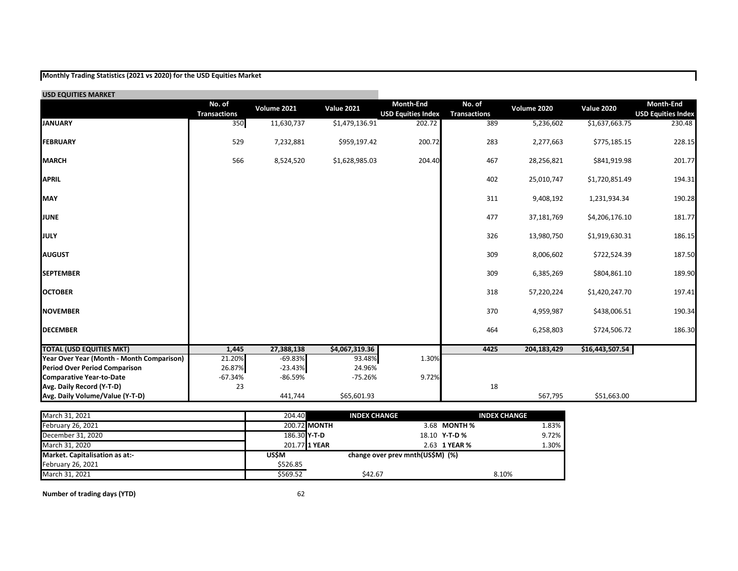## **Monthly Trading Statistics (2021 vs 2020) for the USD Equities Market**

| <b>USD EQUITIES MARKET</b>                |                               |             |                   |                                        |                               |             |                   |                                        |
|-------------------------------------------|-------------------------------|-------------|-------------------|----------------------------------------|-------------------------------|-------------|-------------------|----------------------------------------|
|                                           | No. of<br><b>Transactions</b> | Volume 2021 | <b>Value 2021</b> | Month-End<br><b>USD Equities Index</b> | No. of<br><b>Transactions</b> | Volume 2020 | <b>Value 2020</b> | Month-End<br><b>USD Equities Index</b> |
| <b>JANUARY</b>                            | 350                           | 11,630,737  | \$1,479,136.91    | 202.72                                 | 389                           | 5,236,602   | \$1,637,663.75    | 230.48                                 |
| <b>FEBRUARY</b>                           | 529                           | 7,232,881   | \$959,197.42      | 200.72                                 | 283                           | 2,277,663   | \$775,185.15      | 228.15                                 |
| <b>MARCH</b>                              | 566                           | 8,524,520   | \$1,628,985.03    | 204.40                                 | 467                           | 28,256,821  | \$841,919.98      | 201.77                                 |
| <b>APRIL</b>                              |                               |             |                   |                                        | 402                           | 25,010,747  | \$1,720,851.49    | 194.31                                 |
| <b>MAY</b>                                |                               |             |                   |                                        | 311                           | 9,408,192   | 1,231,934.34      | 190.28                                 |
| <b>JUNE</b>                               |                               |             |                   |                                        | 477                           | 37,181,769  | \$4,206,176.10    | 181.77                                 |
| <b>JULY</b>                               |                               |             |                   |                                        | 326                           | 13,980,750  | \$1,919,630.31    | 186.15                                 |
| <b>AUGUST</b>                             |                               |             |                   |                                        | 309                           | 8,006,602   | \$722,524.39      | 187.50                                 |
| <b>SEPTEMBER</b>                          |                               |             |                   |                                        | 309                           | 6,385,269   | \$804,861.10      | 189.90                                 |
| <b>OCTOBER</b>                            |                               |             |                   |                                        | 318                           | 57,220,224  | \$1,420,247.70    | 197.41                                 |
| <b>NOVEMBER</b>                           |                               |             |                   |                                        | 370                           | 4,959,987   | \$438,006.51      | 190.34                                 |
| <b>DECEMBER</b>                           |                               |             |                   |                                        | 464                           | 6,258,803   | \$724,506.72      | 186.30                                 |
| <b>TOTAL (USD EQUITIES MKT)</b>           | 1,445                         | 27,388,138  | \$4,067,319.36    |                                        | 4425                          | 204,183,429 | \$16,443,507.54   |                                        |
| Year Over Year (Month - Month Comparison) | 21.20%                        | $-69.83%$   | 93.48%            | 1.30%                                  |                               |             |                   |                                        |
| <b>Period Over Period Comparison</b>      | 26.87%                        | $-23.43%$   | 24.96%            |                                        |                               |             |                   |                                        |
| <b>Comparative Year-to-Date</b>           | $-67.34%$                     | -86.59%     | $-75.26%$         | 9.72%                                  |                               |             |                   |                                        |
| Avg. Daily Record (Y-T-D)                 | 23                            |             |                   |                                        | 18                            |             |                   |                                        |
| Avg. Daily Volume/Value (Y-T-D)           |                               | 441,744     | \$65,601.93       |                                        |                               | 567,795     | \$51,663.00       |                                        |

| March 31, 2021                 | 204.40   | <b>INDEX CHANGE</b>              | <b>INDEX CHANGE</b>          |
|--------------------------------|----------|----------------------------------|------------------------------|
| February 26, 2021              |          | 200.72 MONTH                     | 1.83%<br>3.68 <b>MONTH</b> % |
| December 31, 2020              |          | 186.30 Y-T-D                     | $9.72\%$<br>18.10 Y-T-D %    |
| March 31, 2020                 |          | 201.77 1 YEAR                    | 1.30%<br>2.63 1 YEAR %       |
| Market. Capitalisation as at:- | USŚM     | change over prev mnth(US\$M) (%) |                              |
| <b>February 26, 2021</b>       | \$526.85 |                                  |                              |
| March 31, 2021                 | \$569.52 | \$42.67                          | 8.10%                        |

**Number of trading days (YTD)** 62